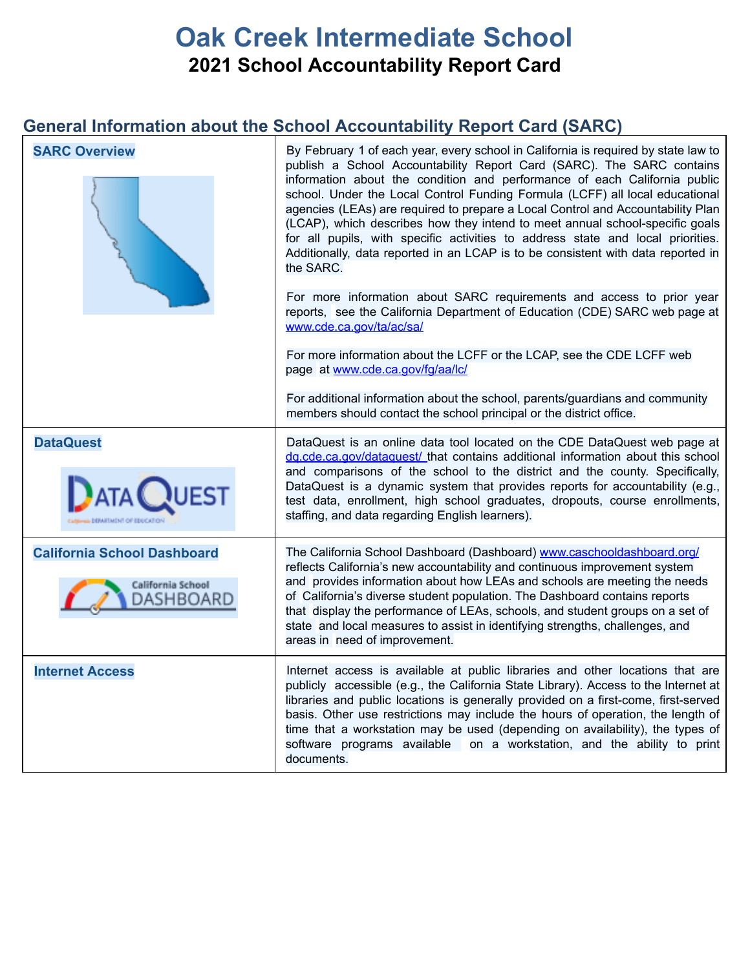## **Oak Creek Intermediate School 2021 School Accountability Report Card**

### **General Information about the School Accountability Report Card (SARC)**

| <b>SARC Overview</b>                                                 | By February 1 of each year, every school in California is required by state law to<br>publish a School Accountability Report Card (SARC). The SARC contains<br>information about the condition and performance of each California public<br>school. Under the Local Control Funding Formula (LCFF) all local educational<br>agencies (LEAs) are required to prepare a Local Control and Accountability Plan<br>(LCAP), which describes how they intend to meet annual school-specific goals<br>for all pupils, with specific activities to address state and local priorities.<br>Additionally, data reported in an LCAP is to be consistent with data reported in<br>the SARC.<br>For more information about SARC requirements and access to prior year<br>reports, see the California Department of Education (CDE) SARC web page at<br>www.cde.ca.gov/ta/ac/sa/<br>For more information about the LCFF or the LCAP, see the CDE LCFF web<br>page at www.cde.ca.gov/fg/aa/lc/<br>For additional information about the school, parents/guardians and community<br>members should contact the school principal or the district office. |
|----------------------------------------------------------------------|----------------------------------------------------------------------------------------------------------------------------------------------------------------------------------------------------------------------------------------------------------------------------------------------------------------------------------------------------------------------------------------------------------------------------------------------------------------------------------------------------------------------------------------------------------------------------------------------------------------------------------------------------------------------------------------------------------------------------------------------------------------------------------------------------------------------------------------------------------------------------------------------------------------------------------------------------------------------------------------------------------------------------------------------------------------------------------------------------------------------------------------|
| <b>DataQuest</b>                                                     | DataQuest is an online data tool located on the CDE DataQuest web page at                                                                                                                                                                                                                                                                                                                                                                                                                                                                                                                                                                                                                                                                                                                                                                                                                                                                                                                                                                                                                                                              |
| <b>JATA QUEST</b>                                                    | dg.cde.ca.gov/dataguest/ that contains additional information about this school<br>and comparisons of the school to the district and the county. Specifically,<br>DataQuest is a dynamic system that provides reports for accountability (e.g.,<br>test data, enrollment, high school graduates, dropouts, course enrollments,<br>staffing, and data regarding English learners).                                                                                                                                                                                                                                                                                                                                                                                                                                                                                                                                                                                                                                                                                                                                                      |
| <b>California School Dashboard</b><br>California School<br>DASHBOARD | The California School Dashboard (Dashboard) www.caschooldashboard.org/<br>reflects California's new accountability and continuous improvement system<br>and provides information about how LEAs and schools are meeting the needs<br>of California's diverse student population. The Dashboard contains reports<br>that display the performance of LEAs, schools, and student groups on a set of<br>state and local measures to assist in identifying strengths, challenges, and<br>areas in need of improvement.                                                                                                                                                                                                                                                                                                                                                                                                                                                                                                                                                                                                                      |
| <b>Internet Access</b>                                               | Internet access is available at public libraries and other locations that are<br>publicly accessible (e.g., the California State Library). Access to the Internet at<br>libraries and public locations is generally provided on a first-come, first-served<br>basis. Other use restrictions may include the hours of operation, the length of<br>time that a workstation may be used (depending on availability), the types of<br>software programs available on a workstation, and the ability to print<br>documents.                                                                                                                                                                                                                                                                                                                                                                                                                                                                                                                                                                                                                 |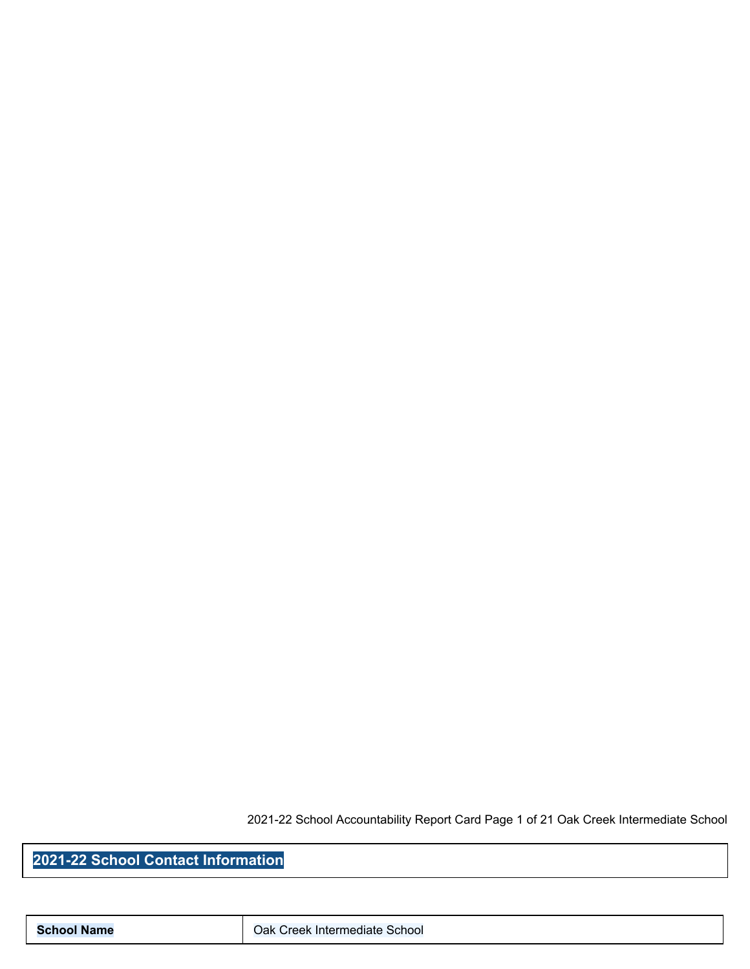2021-22 School Accountability Report Card Page 1 of 21 Oak Creek Intermediate School

**2021-22 School Contact Information**

**School Name Cak Creek Intermediate School**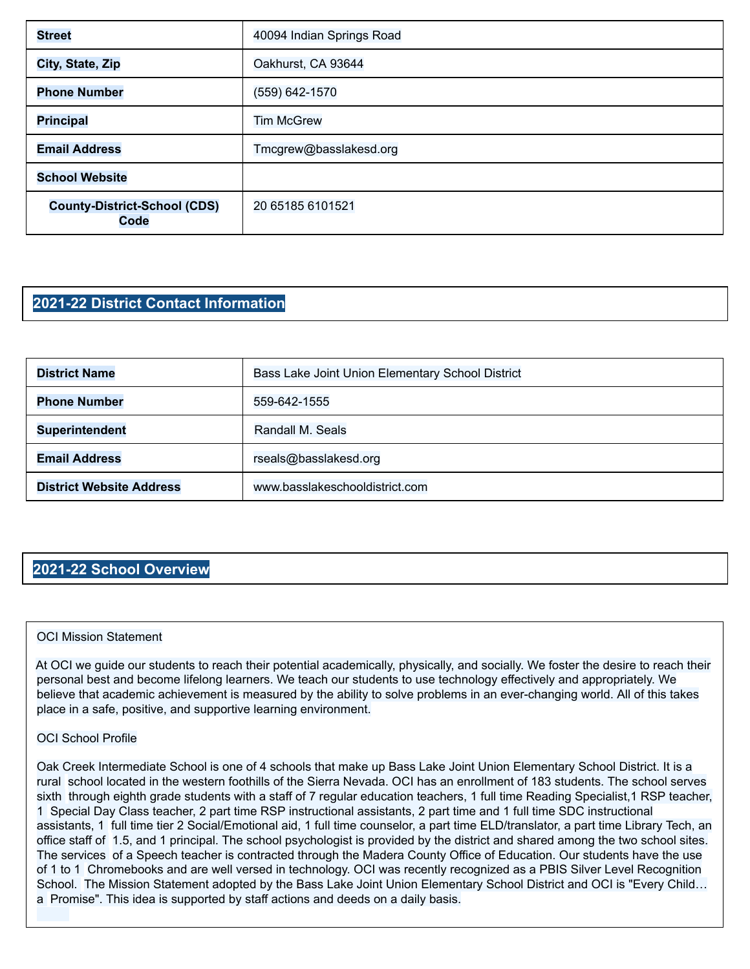| <b>Street</b>                               | 40094 Indian Springs Road |
|---------------------------------------------|---------------------------|
| City, State, Zip                            | Oakhurst, CA 93644        |
| <b>Phone Number</b>                         | (559) 642-1570            |
| <b>Principal</b>                            | <b>Tim McGrew</b>         |
| <b>Email Address</b>                        | Tmcgrew@basslakesd.org    |
| <b>School Website</b>                       |                           |
| <b>County-District-School (CDS)</b><br>Code | 20 65185 6101521          |

### **2021-22 District Contact Information**

| <b>District Name</b>            | Bass Lake Joint Union Elementary School District |  |  |  |
|---------------------------------|--------------------------------------------------|--|--|--|
| <b>Phone Number</b>             | 559-642-1555                                     |  |  |  |
| <b>Superintendent</b>           | Randall M. Seals                                 |  |  |  |
| <b>Email Address</b>            | rseals@basslakesd.org                            |  |  |  |
| <b>District Website Address</b> | www.basslakeschooldistrict.com                   |  |  |  |

#### **2021-22 School Overview**

#### OCI Mission Statement

At OCI we guide our students to reach their potential academically, physically, and socially. We foster the desire to reach their personal best and become lifelong learners. We teach our students to use technology effectively and appropriately. We believe that academic achievement is measured by the ability to solve problems in an ever-changing world. All of this takes place in a safe, positive, and supportive learning environment.

#### OCI School Profile

Oak Creek Intermediate School is one of 4 schools that make up Bass Lake Joint Union Elementary School District. It is a rural school located in the western foothills of the Sierra Nevada. OCI has an enrollment of 183 students. The school serves sixth through eighth grade students with a staff of 7 regular education teachers, 1 full time Reading Specialist,1 RSP teacher, 1 Special Day Class teacher, 2 part time RSP instructional assistants, 2 part time and 1 full time SDC instructional assistants, 1 full time tier 2 Social/Emotional aid, 1 full time counselor, a part time ELD/translator, a part time Library Tech, an office staff of 1.5, and 1 principal. The school psychologist is provided by the district and shared among the two school sites. The services of a Speech teacher is contracted through the Madera County Office of Education. Our students have the use of 1 to 1 Chromebooks and are well versed in technology. OCI was recently recognized as a PBIS Silver Level Recognition School. The Mission Statement adopted by the Bass Lake Joint Union Elementary School District and OCI is "Every Child... a Promise". This idea is supported by staff actions and deeds on a daily basis.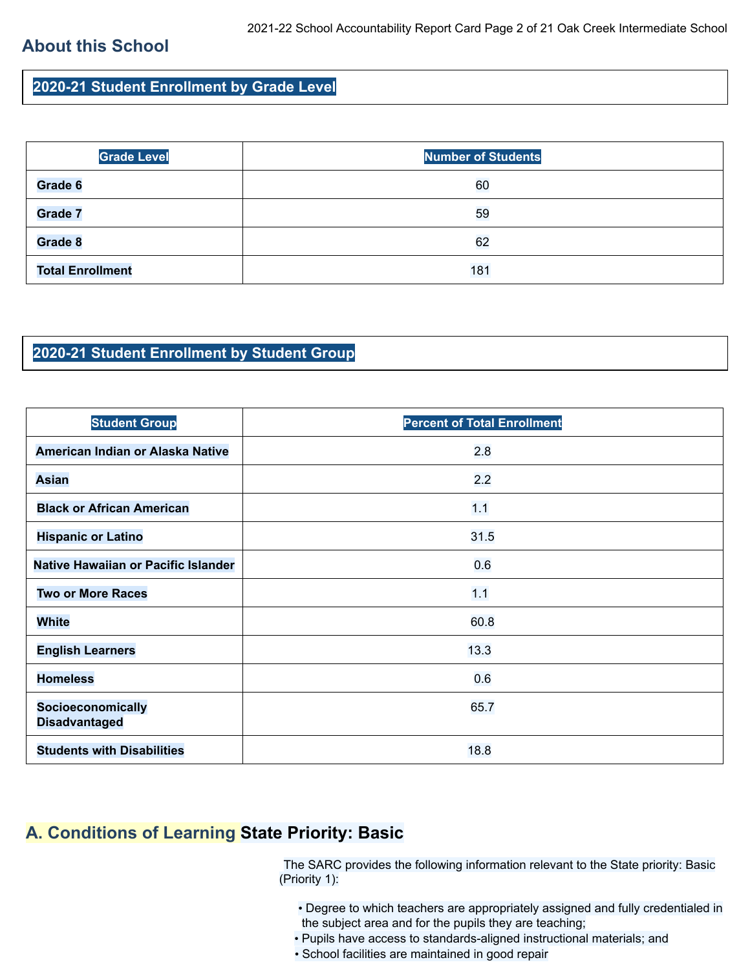### **About this School**

**2020-21 Student Enrollment by Grade Level**

| <b>Grade Level</b>      | <b>Number of Students</b> |
|-------------------------|---------------------------|
| Grade 6                 | 60                        |
| <b>Grade 7</b>          | 59                        |
| Grade 8                 | 62                        |
| <b>Total Enrollment</b> | 181                       |

#### **2020-21 Student Enrollment by Student Group**

| <b>Student Group</b>                      | <b>Percent of Total Enrollment</b> |
|-------------------------------------------|------------------------------------|
| American Indian or Alaska Native          | 2.8                                |
| <b>Asian</b>                              | 2.2                                |
| <b>Black or African American</b>          | 1.1                                |
| <b>Hispanic or Latino</b>                 | 31.5                               |
| Native Hawaiian or Pacific Islander       | 0.6                                |
| <b>Two or More Races</b>                  | 1.1                                |
| <b>White</b>                              | 60.8                               |
| <b>English Learners</b>                   | 13.3                               |
| <b>Homeless</b>                           | 0.6                                |
| Socioeconomically<br><b>Disadvantaged</b> | 65.7                               |
| <b>Students with Disabilities</b>         | 18.8                               |

### **A. Conditions of Learning State Priority: Basic**

The SARC provides the following information relevant to the State priority: Basic (Priority 1):

- Degree to which teachers are appropriately assigned and fully credentialed in the subject area and for the pupils they are teaching;
- Pupils have access to standards-aligned instructional materials; and
- School facilities are maintained in good repair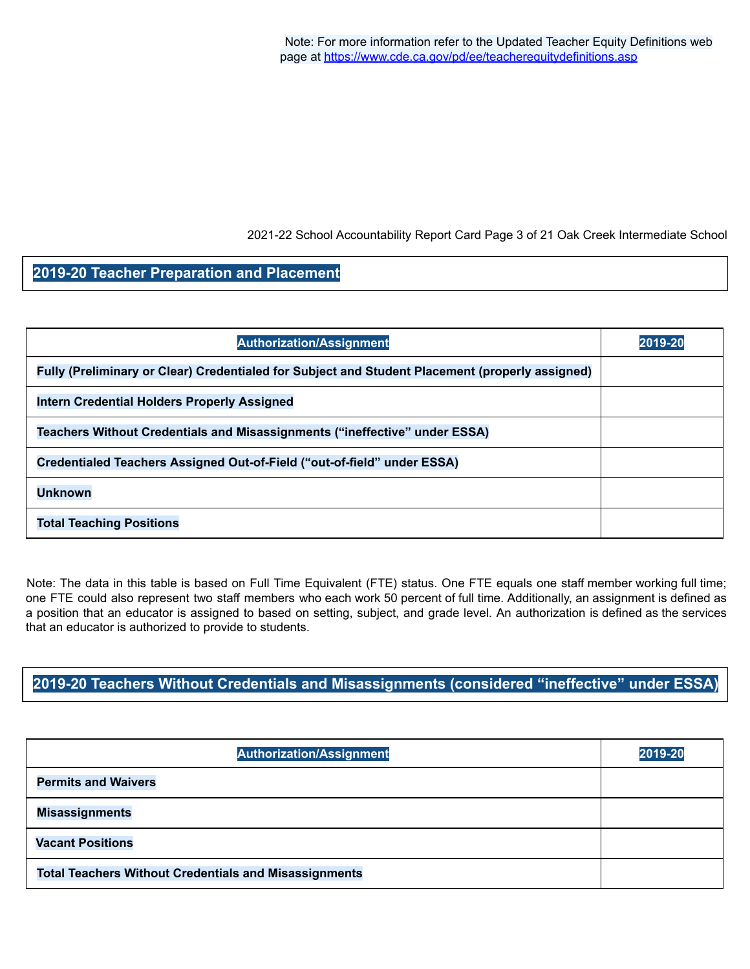2021-22 School Accountability Report Card Page 3 of 21 Oak Creek Intermediate School

### **2019-20 Teacher Preparation and Placement**

| <b>Authorization/Assignment</b>                                                                 | 2019-20 |
|-------------------------------------------------------------------------------------------------|---------|
| Fully (Preliminary or Clear) Credentialed for Subject and Student Placement (properly assigned) |         |
| <b>Intern Credential Holders Properly Assigned</b>                                              |         |
| Teachers Without Credentials and Misassignments ("ineffective" under ESSA)                      |         |
| Credentialed Teachers Assigned Out-of-Field ("out-of-field" under ESSA)                         |         |
| <b>Unknown</b>                                                                                  |         |
| <b>Total Teaching Positions</b>                                                                 |         |

Note: The data in this table is based on Full Time Equivalent (FTE) status. One FTE equals one staff member working full time; one FTE could also represent two staff members who each work 50 percent of full time. Additionally, an assignment is defined as a position that an educator is assigned to based on setting, subject, and grade level. An authorization is defined as the services that an educator is authorized to provide to students.

**2019-20 Teachers Without Credentials and Misassignments (considered "ineffective" under ESSA)**

| <b>Authorization/Assignment</b>                              | 2019-20 |
|--------------------------------------------------------------|---------|
| <b>Permits and Waivers</b>                                   |         |
| <b>Misassignments</b>                                        |         |
| <b>Vacant Positions</b>                                      |         |
| <b>Total Teachers Without Credentials and Misassignments</b> |         |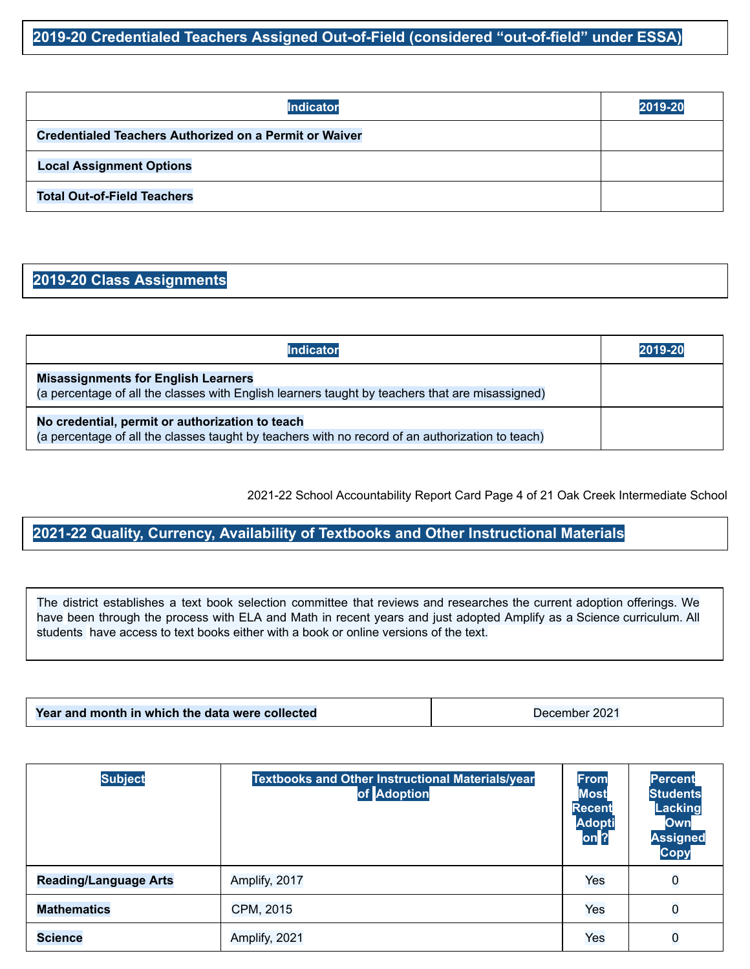### **2019-20 Credentialed Teachers Assigned Out-of-Field (considered "out-of-field" under ESSA)**

| Indicator                                                     | 2019-20 |
|---------------------------------------------------------------|---------|
| <b>Credentialed Teachers Authorized on a Permit or Waiver</b> |         |
| <b>Local Assignment Options</b>                               |         |
| <b>Total Out-of-Field Teachers</b>                            |         |

### **2019-20 Class Assignments**

| <b>Indicator</b>                                                                                                                                    | 2019-20 |
|-----------------------------------------------------------------------------------------------------------------------------------------------------|---------|
| <b>Misassignments for English Learners</b><br>(a percentage of all the classes with English learners taught by teachers that are misassigned)       |         |
| No credential, permit or authorization to teach<br>(a percentage of all the classes taught by teachers with no record of an authorization to teach) |         |

2021-22 School Accountability Report Card Page 4 of 21 Oak Creek Intermediate School

**2021-22 Quality, Currency, Availability of Textbooks and Other Instructional Materials**

The district establishes a text book selection committee that reviews and researches the current adoption offerings. We have been through the process with ELA and Math in recent years and just adopted Amplify as a Science curriculum. All students have access to text books either with a book or online versions of the text.

|--|

| <b>Subject</b>               | <b>Textbooks and Other Instructional Materials/year</b><br>of Adoption | From<br><b>Most</b><br><b>Recent</b><br><b>Adopti</b><br>on <sup>2</sup> | Percent<br><b>Students</b><br><b>Lacking</b><br>Own<br><b>Assigned</b><br><b>Copy</b> |
|------------------------------|------------------------------------------------------------------------|--------------------------------------------------------------------------|---------------------------------------------------------------------------------------|
| <b>Reading/Language Arts</b> | Amplify, 2017                                                          | Yes                                                                      | $\bf{0}$                                                                              |
| <b>Mathematics</b>           | CPM, 2015                                                              | Yes                                                                      | $\overline{0}$                                                                        |
| <b>Science</b>               | Amplify, 2021                                                          | Yes                                                                      | $\overline{0}$                                                                        |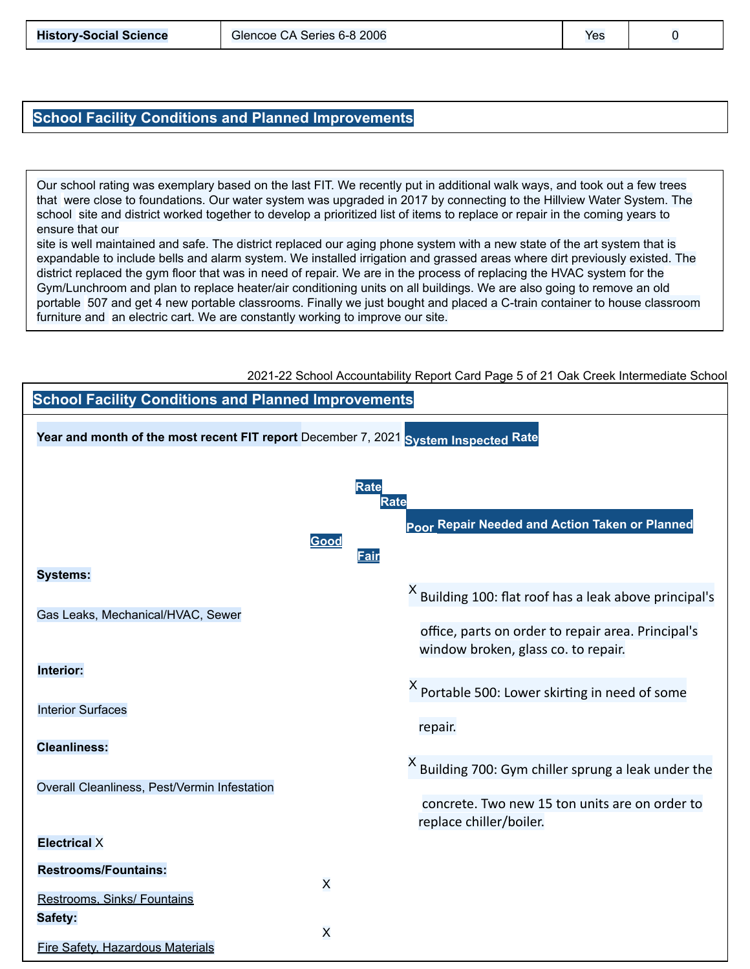#### **School Facility Conditions and Planned Improvements**

Our school rating was exemplary based on the last FIT. We recently put in additional walk ways, and took out a few trees that were close to foundations. Our water system was upgraded in 2017 by connecting to the Hillview Water System. The school site and district worked together to develop a prioritized list of items to replace or repair in the coming years to ensure that our

site is well maintained and safe. The district replaced our aging phone system with a new state of the art system that is expandable to include bells and alarm system. We installed irrigation and grassed areas where dirt previously existed. The district replaced the gym floor that was in need of repair. We are in the process of replacing the HVAC system for the Gym/Lunchroom and plan to replace heater/air conditioning units on all buildings. We are also going to remove an old portable 507 and get 4 new portable classrooms. Finally we just bought and placed a C-train container to house classroom furniture and an electric cart. We are constantly working to improve our site.



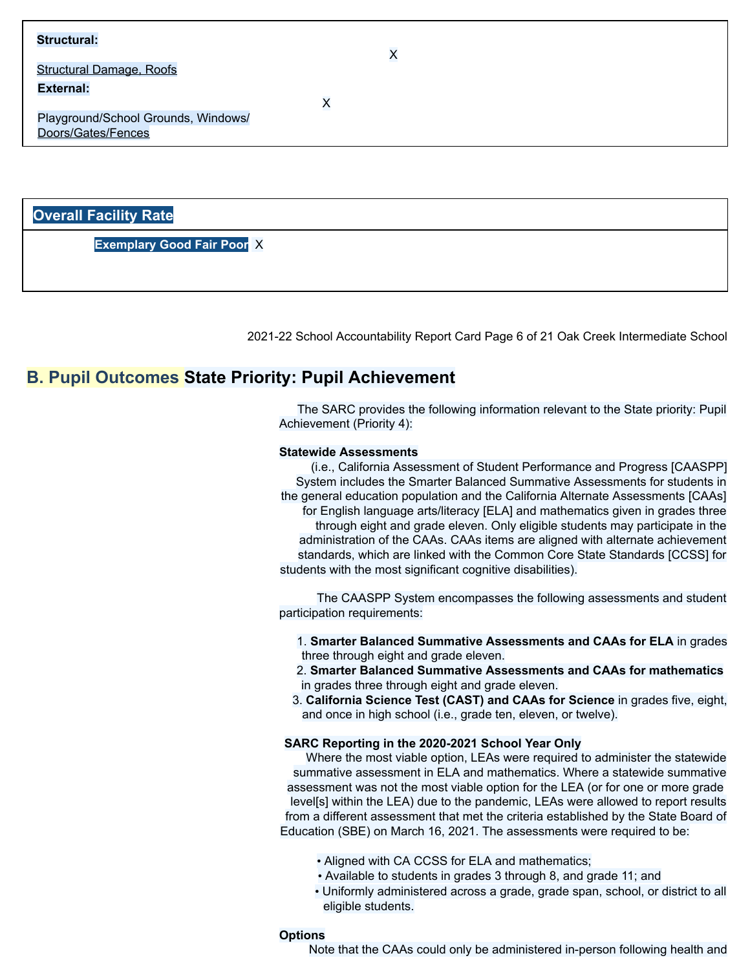#### **Structural:**

Structural Damage, Roofs

**External:**

X

X

Playground/School Grounds, Windows/ Doors/Gates/Fences

#### **Overall Facility Rate**

**Exemplary Good Fair Poor** X

2021-22 School Accountability Report Card Page 6 of 21 Oak Creek Intermediate School

#### **B. Pupil Outcomes State Priority: Pupil Achievement**

The SARC provides the following information relevant to the State priority: Pupil Achievement (Priority 4):

#### **Statewide Assessments**

(i.e., California Assessment of Student Performance and Progress [CAASPP] System includes the Smarter Balanced Summative Assessments for students in the general education population and the California Alternate Assessments [CAAs] for English language arts/literacy [ELA] and mathematics given in grades three through eight and grade eleven. Only eligible students may participate in the administration of the CAAs. CAAs items are aligned with alternate achievement standards, which are linked with the Common Core State Standards [CCSS] for students with the most significant cognitive disabilities).

The CAASPP System encompasses the following assessments and student participation requirements:

1. **Smarter Balanced Summative Assessments and CAAs for ELA** in grades three through eight and grade eleven.

- 2. **Smarter Balanced Summative Assessments and CAAs for mathematics** in grades three through eight and grade eleven.
- 3. **California Science Test (CAST) and CAAs for Science** in grades five, eight, and once in high school (i.e., grade ten, eleven, or twelve).

#### **SARC Reporting in the 2020-2021 School Year Only**

Where the most viable option, LEAs were required to administer the statewide summative assessment in ELA and mathematics. Where a statewide summative assessment was not the most viable option for the LEA (or for one or more grade level[s] within the LEA) due to the pandemic, LEAs were allowed to report results from a different assessment that met the criteria established by the State Board of Education (SBE) on March 16, 2021. The assessments were required to be:

- Aligned with CA CCSS for ELA and mathematics;
- Available to students in grades 3 through 8, and grade 11; and
- Uniformly administered across a grade, grade span, school, or district to all eligible students.

#### **Options**

Note that the CAAs could only be administered in-person following health and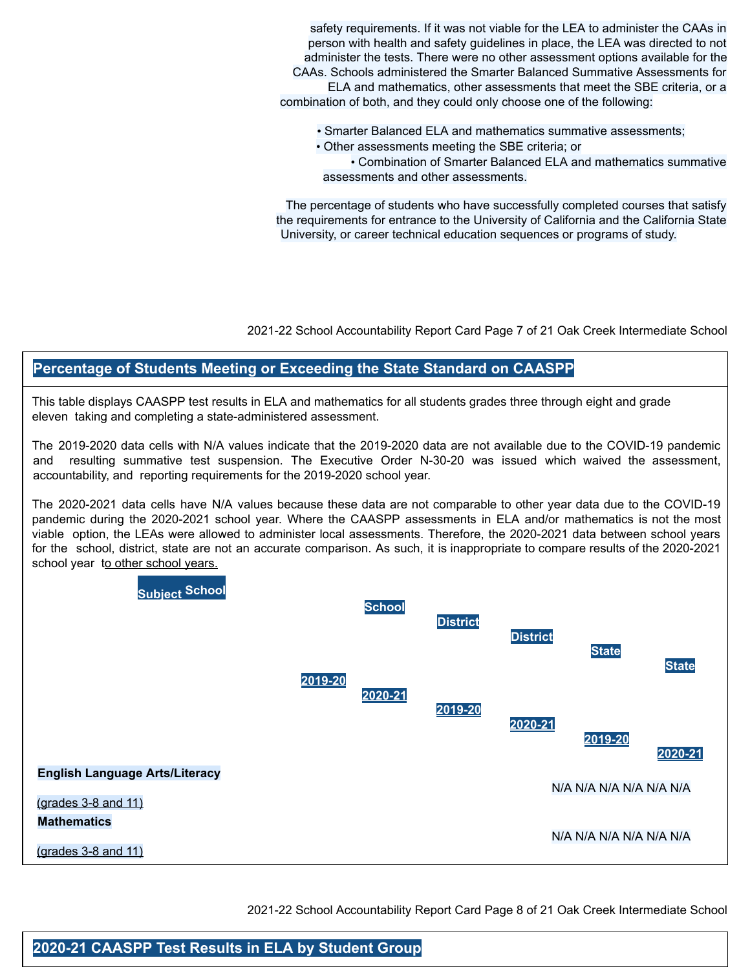safety requirements. If it was not viable for the LEA to administer the CAAs in person with health and safety guidelines in place, the LEA was directed to not administer the tests. There were no other assessment options available for the CAAs. Schools administered the Smarter Balanced Summative Assessments for ELA and mathematics, other assessments that meet the SBE criteria, or a combination of both, and they could only choose one of the following:

- Smarter Balanced ELA and mathematics summative assessments;
- Other assessments meeting the SBE criteria; or

• Combination of Smarter Balanced ELA and mathematics summative assessments and other assessments.

The percentage of students who have successfully completed courses that satisfy the requirements for entrance to the University of California and the California State University, or career technical education sequences or programs of study.

2021-22 School Accountability Report Card Page 7 of 21 Oak Creek Intermediate School

### **Percentage of Students Meeting or Exceeding the State Standard on CAASPP**

This table displays CAASPP test results in ELA and mathematics for all students grades three through eight and grade eleven taking and completing a state-administered assessment.

The 2019-2020 data cells with N/A values indicate that the 2019-2020 data are not available due to the COVID-19 pandemic and resulting summative test suspension. The Executive Order N-30-20 was issued which waived the assessment, accountability, and reporting requirements for the 2019-2020 school year.

The 2020-2021 data cells have N/A values because these data are not comparable to other year data due to the COVID-19 pandemic during the 2020-2021 school year. Where the CAASPP assessments in ELA and/or mathematics is not the most viable option, the LEAs were allowed to administer local assessments. Therefore, the 2020-2021 data between school years for the school, district, state are not an accurate comparison. As such, it is inappropriate to compare results of the 2020-2021 school year to other school years.



2021-22 School Accountability Report Card Page 8 of 21 Oak Creek Intermediate School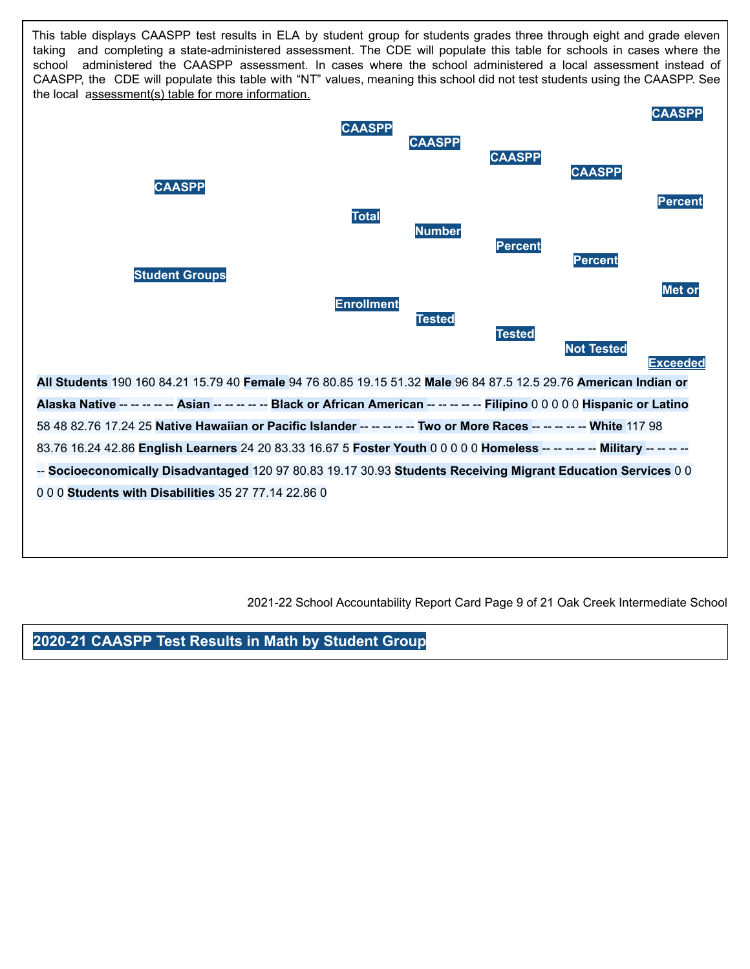This table displays CAASPP test results in ELA by student group for students grades three through eight and grade eleven taking and completing a state-administered assessment. The CDE will populate this table for schools in cases where the school administered the CAASPP assessment. In cases where the school administered a local assessment instead of CAASPP, the CDE will populate this table with "NT" values, meaning this school did not test students using the CAASPP. See the local assessment(s) table for more information.



2021-22 School Accountability Report Card Page 9 of 21 Oak Creek Intermediate School

**2020-21 CAASPP Test Results in Math by Student Group**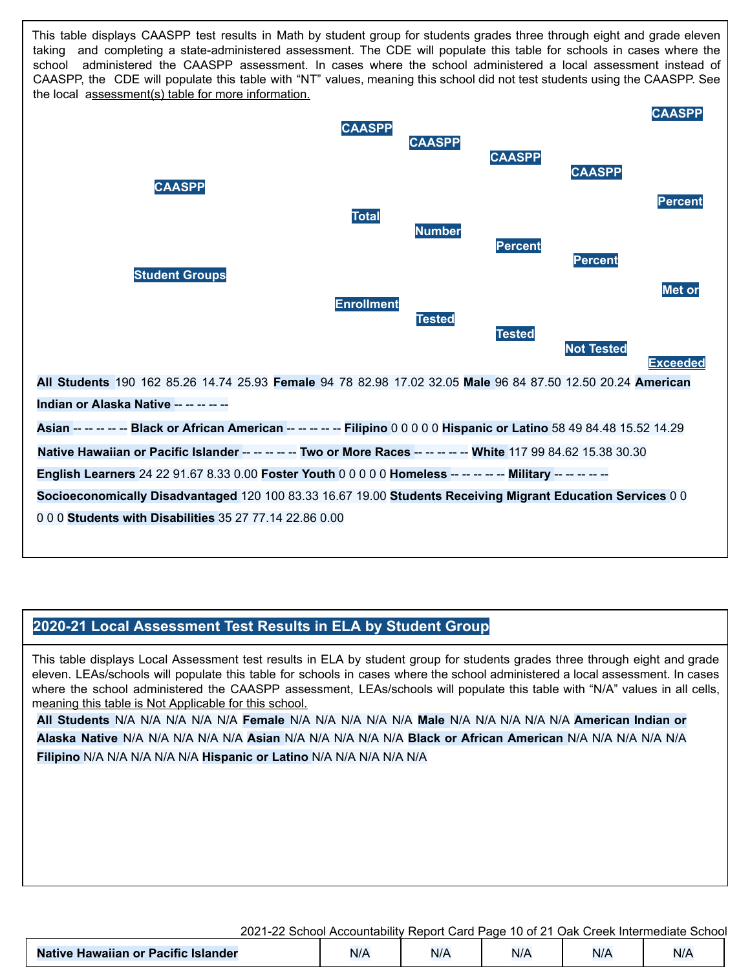This table displays CAASPP test results in Math by student group for students grades three through eight and grade eleven taking and completing a state-administered assessment. The CDE will populate this table for schools in cases where the school administered the CAASPP assessment. In cases where the school administered a local assessment instead of CAASPP, the CDE will populate this table with "NT" values, meaning this school did not test students using the CAASPP. See the local assessment(s) table for more information.



#### **2020-21 Local Assessment Test Results in ELA by Student Group**

This table displays Local Assessment test results in ELA by student group for students grades three through eight and grade eleven. LEAs/schools will populate this table for schools in cases where the school administered a local assessment. In cases where the school administered the CAASPP assessment, LEAs/schools will populate this table with "N/A" values in all cells, meaning this table is Not Applicable for this school.

**All Students** N/A N/A N/A N/A N/A **Female** N/A N/A N/A N/A N/A **Male** N/A N/A N/A N/A N/A **American Indian or Alaska Native** N/A N/A N/A N/A N/A **Asian** N/A N/A N/A N/A N/A **Black or African American** N/A N/A N/A N/A N/A **Filipino** N/A N/A N/A N/A N/A **Hispanic or Latino** N/A N/A N/A N/A N/A

| 2021-22 School Accountability Report Card Page 10 of 21 Oak Creek Intermediate School |     |     |     |     |     |  |
|---------------------------------------------------------------------------------------|-----|-----|-----|-----|-----|--|
| <b>Native Hawaiian or Pacific Islander</b>                                            | N/A | N/A | N/A | N/A | N/A |  |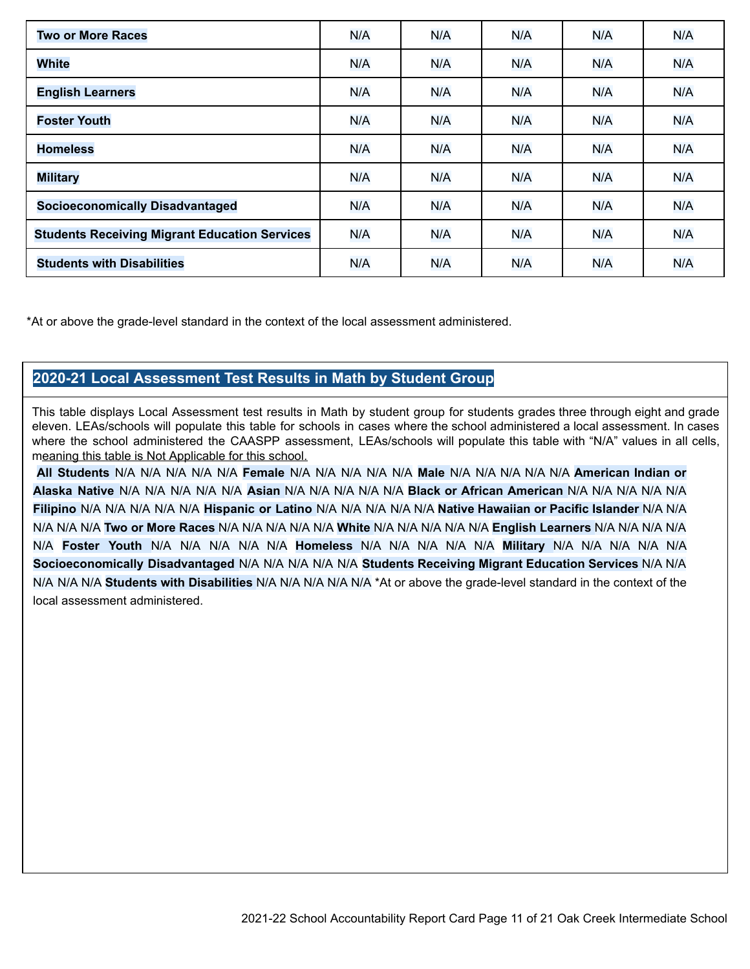| <b>Two or More Races</b>                             | N/A | N/A | N/A | N/A | N/A |
|------------------------------------------------------|-----|-----|-----|-----|-----|
| <b>White</b>                                         | N/A | N/A | N/A | N/A | N/A |
| <b>English Learners</b>                              | N/A | N/A | N/A | N/A | N/A |
| <b>Foster Youth</b>                                  | N/A | N/A | N/A | N/A | N/A |
| <b>Homeless</b>                                      | N/A | N/A | N/A | N/A | N/A |
| <b>Military</b>                                      | N/A | N/A | N/A | N/A | N/A |
| <b>Socioeconomically Disadvantaged</b>               | N/A | N/A | N/A | N/A | N/A |
| <b>Students Receiving Migrant Education Services</b> | N/A | N/A | N/A | N/A | N/A |
| <b>Students with Disabilities</b>                    | N/A | N/A | N/A | N/A | N/A |

\*At or above the grade-level standard in the context of the local assessment administered.

### **2020-21 Local Assessment Test Results in Math by Student Group**

This table displays Local Assessment test results in Math by student group for students grades three through eight and grade eleven. LEAs/schools will populate this table for schools in cases where the school administered a local assessment. In cases where the school administered the CAASPP assessment, LEAs/schools will populate this table with "N/A" values in all cells, meaning this table is Not Applicable for this school.

**All Students** N/A N/A N/A N/A N/A **Female** N/A N/A N/A N/A N/A **Male** N/A N/A N/A N/A N/A **American Indian or Alaska Native** N/A N/A N/A N/A N/A **Asian** N/A N/A N/A N/A N/A **Black or African American** N/A N/A N/A N/A N/A **Filipino** N/A N/A N/A N/A N/A **Hispanic or Latino** N/A N/A N/A N/A N/A **Native Hawaiian or Pacific Islander** N/A N/A N/A N/A N/A **Two or More Races** N/A N/A N/A N/A N/A **White** N/A N/A N/A N/A N/A **English Learners** N/A N/A N/A N/A N/A **Foster Youth** N/A N/A N/A N/A N/A **Homeless** N/A N/A N/A N/A N/A **Military** N/A N/A N/A N/A N/A **Socioeconomically Disadvantaged** N/A N/A N/A N/A N/A **Students Receiving Migrant Education Services** N/A N/A N/A N/A N/A **Students with Disabilities** N/A N/A N/A N/A N/A \*At or above the grade-level standard in the context of the local assessment administered.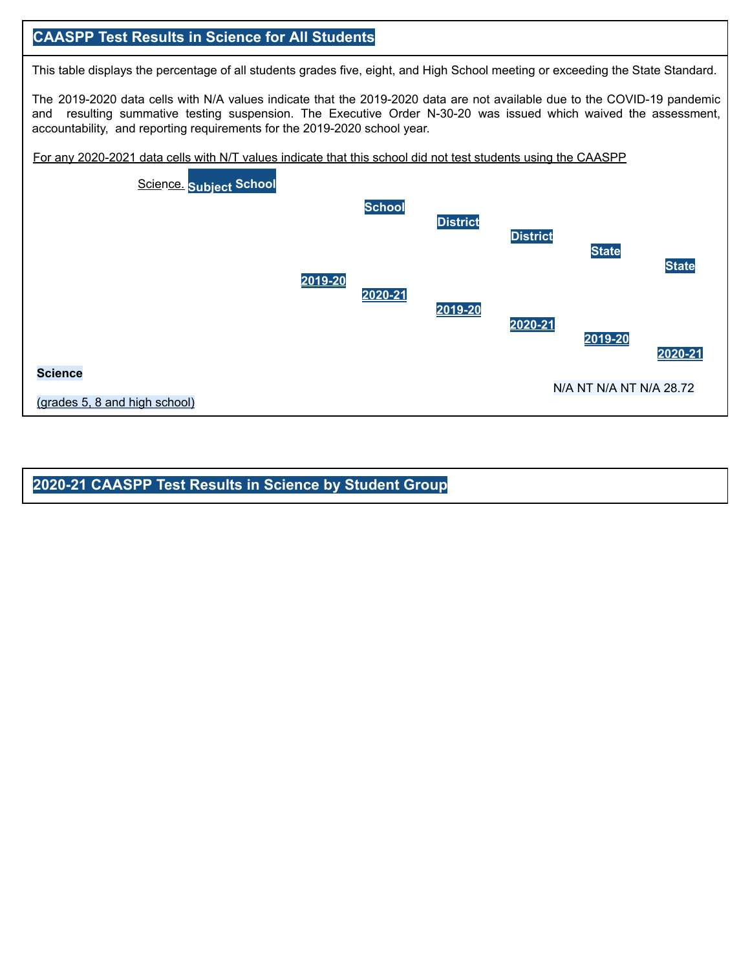### **CAASPP Test Results in Science for All Students**

This table displays the percentage of all students grades five, eight, and High School meeting or exceeding the State Standard.

The 2019-2020 data cells with N/A values indicate that the 2019-2020 data are not available due to the COVID-19 pandemic and resulting summative testing suspension. The Executive Order N-30-20 was issued which waived the assessment, accountability, and reporting requirements for the 2019-2020 school year.





**2020-21 CAASPP Test Results in Science by Student Group**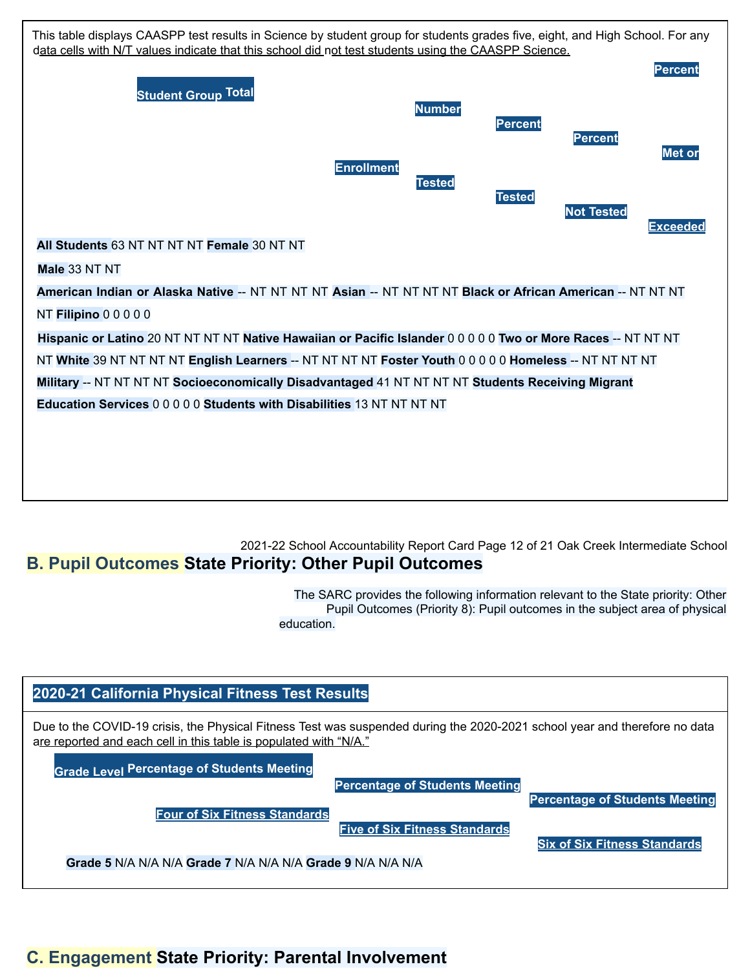

### 2021-22 School Accountability Report Card Page 12 of 21 Oak Creek Intermediate School **B. Pupil Outcomes State Priority: Other Pupil Outcomes**

The SARC provides the following information relevant to the State priority: Other Pupil Outcomes (Priority 8): Pupil outcomes in the subject area of physical education.



### **C. Engagement State Priority: Parental Involvement**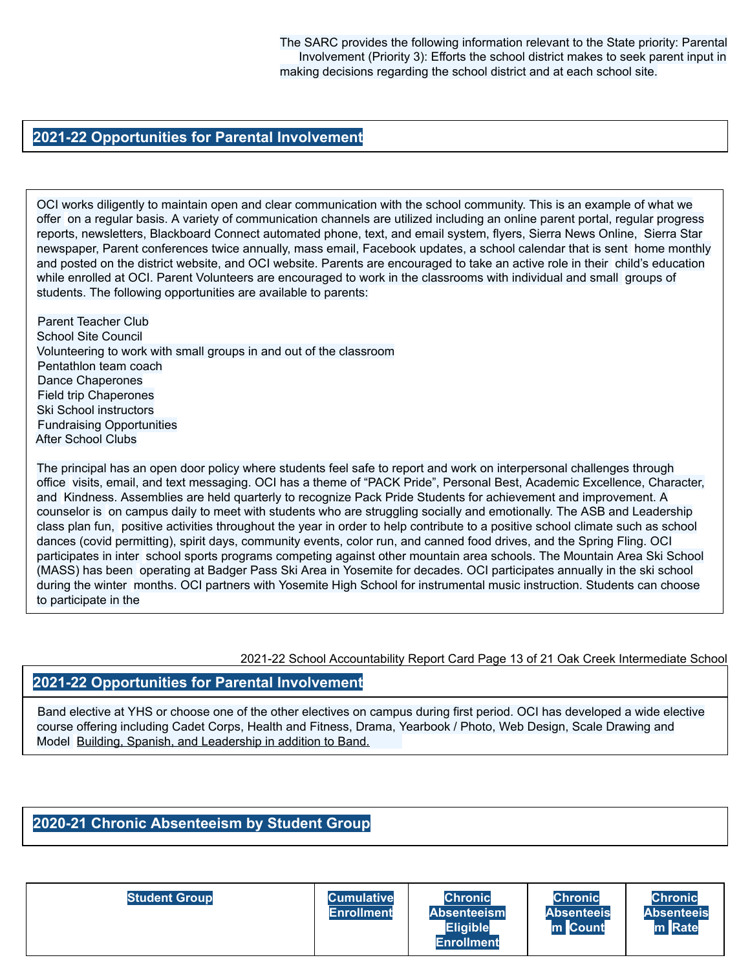The SARC provides the following information relevant to the State priority: Parental Involvement (Priority 3): Efforts the school district makes to seek parent input in making decisions regarding the school district and at each school site.

#### **2021-22 Opportunities for Parental Involvement**

OCI works diligently to maintain open and clear communication with the school community. This is an example of what we offer on a regular basis. A variety of communication channels are utilized including an online parent portal, regular progress reports, newsletters, Blackboard Connect automated phone, text, and email system, flyers, Sierra News Online, Sierra Star newspaper, Parent conferences twice annually, mass email, Facebook updates, a school calendar that is sent home monthly and posted on the district website, and OCI website. Parents are encouraged to take an active role in their child's education while enrolled at OCI. Parent Volunteers are encouraged to work in the classrooms with individual and small groups of students. The following opportunities are available to parents:

Parent Teacher Club School Site Council Volunteering to work with small groups in and out of the classroom Pentathlon team coach Dance Chaperones Field trip Chaperones Ski School instructors Fundraising Opportunities After School Clubs

The principal has an open door policy where students feel safe to report and work on interpersonal challenges through office visits, email, and text messaging. OCI has a theme of "PACK Pride", Personal Best, Academic Excellence, Character, and Kindness. Assemblies are held quarterly to recognize Pack Pride Students for achievement and improvement. A counselor is on campus daily to meet with students who are struggling socially and emotionally. The ASB and Leadership class plan fun, positive activities throughout the year in order to help contribute to a positive school climate such as school dances (covid permitting), spirit days, community events, color run, and canned food drives, and the Spring Fling. OCI participates in inter school sports programs competing against other mountain area schools. The Mountain Area Ski School (MASS) has been operating at Badger Pass Ski Area in Yosemite for decades. OCI participates annually in the ski school during the winter months. OCI partners with Yosemite High School for instrumental music instruction. Students can choose to participate in the

2021-22 School Accountability Report Card Page 13 of 21 Oak Creek Intermediate School

#### **2021-22 Opportunities for Parental Involvement**

Band elective at YHS or choose one of the other electives on campus during first period. OCI has developed a wide elective course offering including Cadet Corps, Health and Fitness, Drama, Yearbook / Photo, Web Design, Scale Drawing and Model Building, Spanish, and Leadership in addition to Band.

#### **2020-21 Chronic Absenteeism by Student Group**

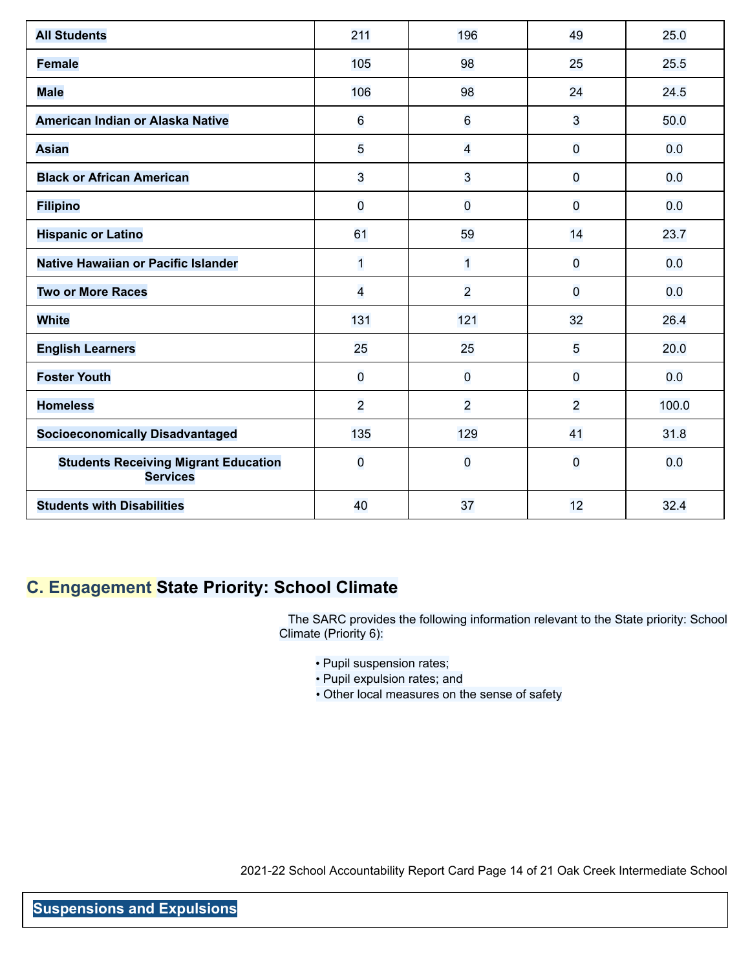| <b>All Students</b>                                            | 211                     | 196            | 49             | 25.0  |
|----------------------------------------------------------------|-------------------------|----------------|----------------|-------|
| <b>Female</b>                                                  | 105                     | 98             | 25             | 25.5  |
| <b>Male</b>                                                    | 106                     | 98             | 24             | 24.5  |
| American Indian or Alaska Native                               | 6                       | 6              | 3              | 50.0  |
| <b>Asian</b>                                                   | 5                       | $\overline{4}$ | 0              | 0.0   |
| <b>Black or African American</b>                               | 3                       | 3              | $\overline{0}$ | 0.0   |
| <b>Filipino</b>                                                | $\overline{\mathbf{0}}$ | $\overline{0}$ | $\overline{0}$ | 0.0   |
| <b>Hispanic or Latino</b>                                      | 61                      | 59             | 14             | 23.7  |
| Native Hawaiian or Pacific Islander                            | $\overline{1}$          | $\mathbf{1}$   | $\overline{0}$ | 0.0   |
| <b>Two or More Races</b>                                       | $\overline{4}$          | $\overline{2}$ | 0              | 0.0   |
| <b>White</b>                                                   | 131                     | 121            | 32             | 26.4  |
| <b>English Learners</b>                                        | 25                      | 25             | 5              | 20.0  |
| <b>Foster Youth</b>                                            | $\overline{O}$          | $\overline{0}$ | 0              | 0.0   |
| <b>Homeless</b>                                                | $\overline{2}$          | $\overline{2}$ | $\overline{2}$ | 100.0 |
| <b>Socioeconomically Disadvantaged</b>                         | 135                     | 129            | 41             | 31.8  |
| <b>Students Receiving Migrant Education</b><br><b>Services</b> | $\overline{O}$          | $\overline{0}$ | $\overline{0}$ | 0.0   |
| <b>Students with Disabilities</b>                              | 40                      | 37             | 12             | 32.4  |

### **C. Engagement State Priority: School Climate**

The SARC provides the following information relevant to the State priority: School Climate (Priority 6):

- Pupil suspension rates;
- Pupil expulsion rates; and
- Other local measures on the sense of safety

2021-22 School Accountability Report Card Page 14 of 21 Oak Creek Intermediate School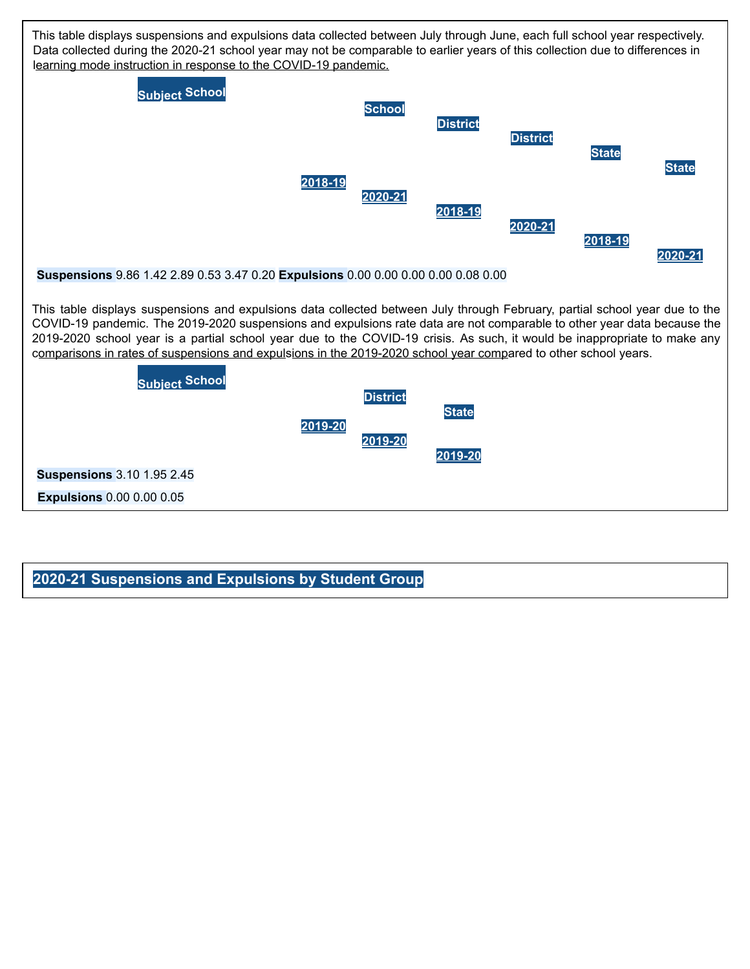

#### **2020-21 Suspensions and Expulsions by Student Group**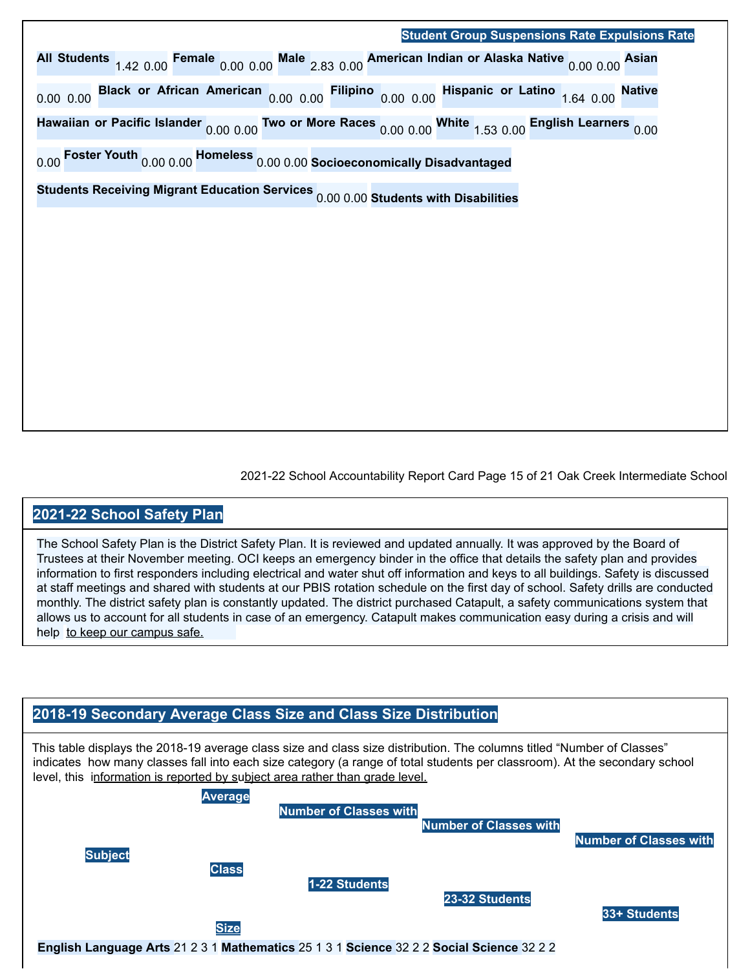#### **Student Group Suspensions Rate Expulsions Rate**

**All Students** 1.42 0.00 **Female** 0.00 0.00 **Male** 2.83 0.00 **American Indian or Alaska Native** 0.00 0.00 **Asian** 0.00 0.00 **Black or African American** 0.00 0.00 **Filipino** 0.00 0.00 **Hispanic or Latino** 1.64 0.00 **Native Hawaiian or Pacific Islander** 0.00 0.00 **Two or More Races** 0.00 0.00 **White** 1.53 0.00 **English Learners** 0.00 0.00 **Foster Youth** 0.00 0.00 **Homeless** 0.00 0.00 **Socioeconomically Disadvantaged**

**Students Receiving Migrant Education Services** 0.00 0.00 **Students with Disabilities**

2021-22 School Accountability Report Card Page 15 of 21 Oak Creek Intermediate School

#### **2021-22 School Safety Plan**

The School Safety Plan is the District Safety Plan. It is reviewed and updated annually. It was approved by the Board of Trustees at their November meeting. OCI keeps an emergency binder in the office that details the safety plan and provides information to first responders including electrical and water shut off information and keys to all buildings. Safety is discussed at staff meetings and shared with students at our PBIS rotation schedule on the first day of school. Safety drills are conducted monthly. The district safety plan is constantly updated. The district purchased Catapult, a safety communications system that allows us to account for all students in case of an emergency. Catapult makes communication easy during a crisis and will help to keep our campus safe.



This table displays the 2018-19 average class size and class size distribution. The columns titled "Number of Classes" indicates how many classes fall into each size category (a range of total students per classroom). At the secondary school level, this information is reported by subject area rather than grade level.



**English Language Arts** 21 2 3 1 **Mathematics** 25 1 3 1 **Science** 32 2 2 **Social Science** 32 2 2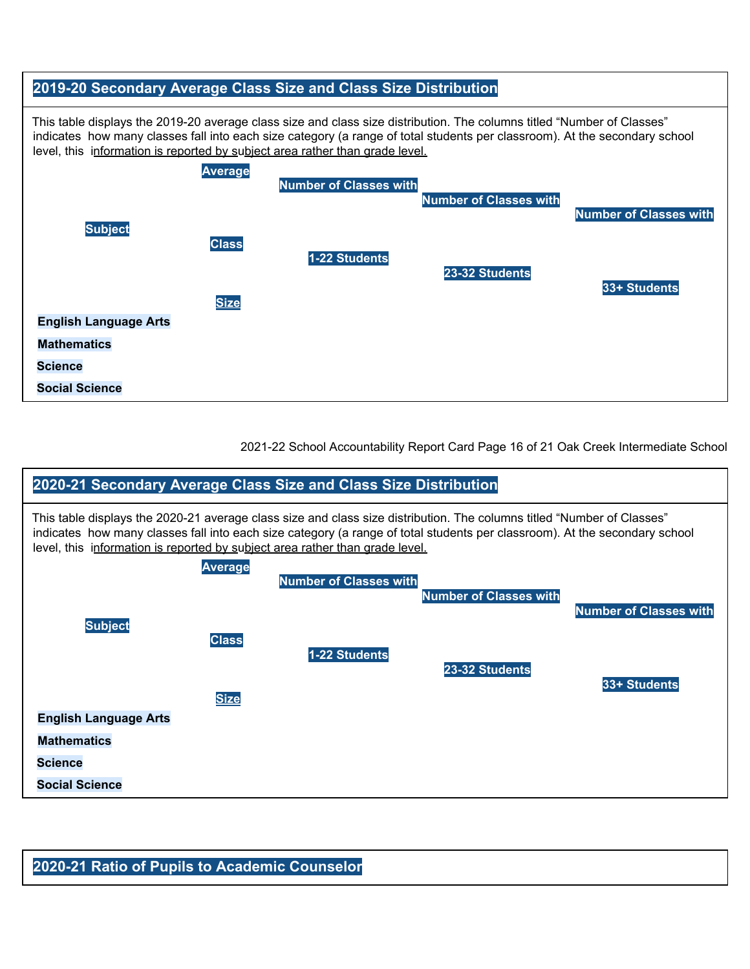#### **2019-20 Secondary Average Class Size and Class Size Distribution**

This table displays the 2019-20 average class size and class size distribution. The columns titled "Number of Classes" indicates how many classes fall into each size category (a range of total students per classroom). At the secondary school level, this information is reported by subject area rather than grade level.



2021-22 School Accountability Report Card Page 16 of 21 Oak Creek Intermediate School



#### **2020-21 Ratio of Pupils to Academic Counselor**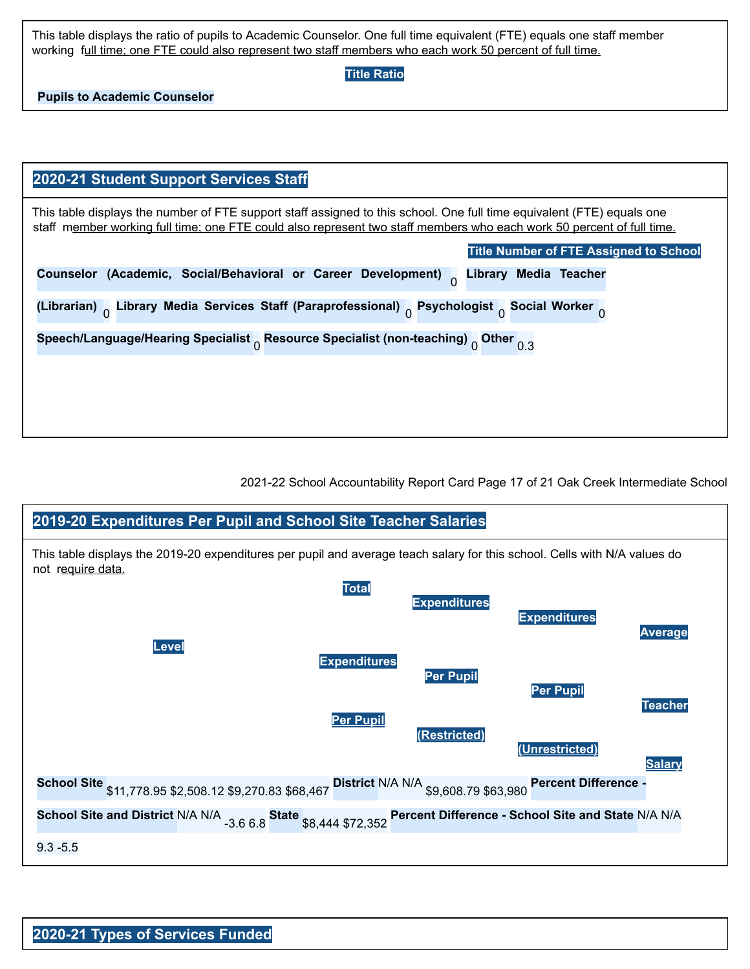This table displays the ratio of pupils to Academic Counselor. One full time equivalent (FTE) equals one staff member working full time; one FTE could also represent two staff members who each work 50 percent of full time.

**Title Ratio**

**Pupils to Academic Counselor**

| 2020-21 Student Support Services Staff                                                                                                                                                                                                          |
|-------------------------------------------------------------------------------------------------------------------------------------------------------------------------------------------------------------------------------------------------|
| This table displays the number of FTE support staff assigned to this school. One full time equivalent (FTE) equals one<br>staff member working full time; one FTE could also represent two staff members who each work 50 percent of full time. |
| <b>Title Number of FTE Assigned to School</b>                                                                                                                                                                                                   |
| Counselor (Academic, Social/Behavioral or Career Development)<br><b>Library Media Teacher</b>                                                                                                                                                   |
| (Librarian) <sub>n</sub> Library Media Services Staff (Paraprofessional) <sub>0</sub> Psychologist <sub>0</sub> Social Worker <sub>0</sub>                                                                                                      |
| Speech/Language/Hearing Specialist $_0$ Resource Specialist (non-teaching) $_0$ Other $_{0.3}$                                                                                                                                                  |
|                                                                                                                                                                                                                                                 |
|                                                                                                                                                                                                                                                 |
|                                                                                                                                                                                                                                                 |

2021-22 School Accountability Report Card Page 17 of 21 Oak Creek Intermediate School

### **2019-20 Expenditures Per Pupil and School Site Teacher Salaries** This table displays the 2019-20 expenditures per pupil and average teach salary for this school. Cells with N/A values do not require data. **Total Expenditures Expenditures Average Level Expenditures Per Pupil Per Pupil Teacher Per Pupil (Restricted) (Unrestricted) Salary School Site** \$11,778.95 \$2,508.12 \$9,270.83 \$68,467 **District** N/A N/A \$9,608.79 \$63,980 **Percent Difference - School Site and District** N/A N/A -3.6 6.8 **State** \$8,444 \$72,352 **Percent Difference - School Site and State** N/A N/A 9.3 -5.5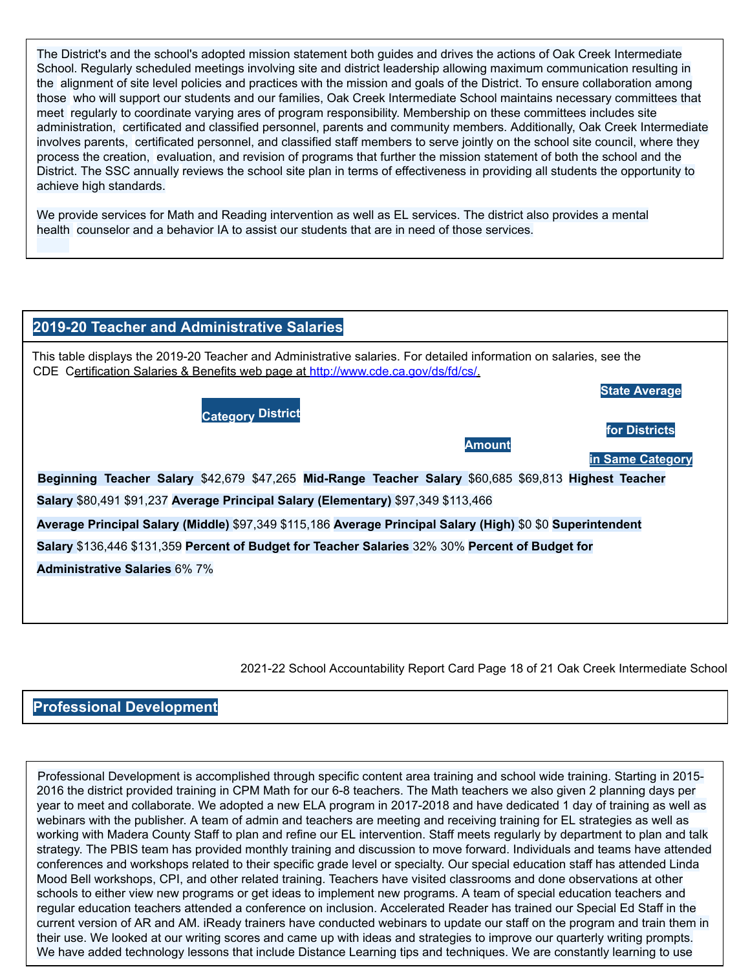The District's and the school's adopted mission statement both guides and drives the actions of Oak Creek Intermediate School. Regularly scheduled meetings involving site and district leadership allowing maximum communication resulting in the alignment of site level policies and practices with the mission and goals of the District. To ensure collaboration among those who will support our students and our families, Oak Creek Intermediate School maintains necessary committees that meet regularly to coordinate varying ares of program responsibility. Membership on these committees includes site administration, certificated and classified personnel, parents and community members. Additionally, Oak Creek Intermediate involves parents, certificated personnel, and classified staff members to serve jointly on the school site council, where they process the creation, evaluation, and revision of programs that further the mission statement of both the school and the District. The SSC annually reviews the school site plan in terms of effectiveness in providing all students the opportunity to achieve high standards.

We provide services for Math and Reading intervention as well as EL services. The district also provides a mental health counselor and a behavior IA to assist our students that are in need of those services.

| 2019-20 Teacher and Administrative Salaries                                                                                                                                                              |
|----------------------------------------------------------------------------------------------------------------------------------------------------------------------------------------------------------|
| This table displays the 2019-20 Teacher and Administrative salaries. For detailed information on salaries, see the<br>CDE Certification Salaries & Benefits web page at http://www.cde.ca.gov/ds/fd/cs/. |
| <b>State Average</b><br><b>Category District</b><br>for Districts<br><b>Amount</b>                                                                                                                       |
| in Same Category<br>Beginning Teacher Salary \$42,679 \$47,265 Mid-Range Teacher Salary \$60,685 \$69,813 Highest Teacher                                                                                |
| Salary \$80,491 \$91,237 Average Principal Salary (Elementary) \$97,349 \$113,466                                                                                                                        |
| Average Principal Salary (Middle) \$97,349 \$115,186 Average Principal Salary (High) \$0 \$0 Superintendent                                                                                              |
| Salary \$136,446 \$131,359 Percent of Budget for Teacher Salaries 32% 30% Percent of Budget for                                                                                                          |
| <b>Administrative Salaries 6% 7%</b>                                                                                                                                                                     |
|                                                                                                                                                                                                          |
|                                                                                                                                                                                                          |
|                                                                                                                                                                                                          |

2021-22 School Accountability Report Card Page 18 of 21 Oak Creek Intermediate School

#### **Professional Development**

Professional Development is accomplished through specific content area training and school wide training. Starting in 2015- 2016 the district provided training in CPM Math for our 6-8 teachers. The Math teachers we also given 2 planning days per year to meet and collaborate. We adopted a new ELA program in 2017-2018 and have dedicated 1 day of training as well as webinars with the publisher. A team of admin and teachers are meeting and receiving training for EL strategies as well as working with Madera County Staff to plan and refine our EL intervention. Staff meets regularly by department to plan and talk strategy. The PBIS team has provided monthly training and discussion to move forward. Individuals and teams have attended conferences and workshops related to their specific grade level or specialty. Our special education staff has attended Linda Mood Bell workshops, CPI, and other related training. Teachers have visited classrooms and done observations at other schools to either view new programs or get ideas to implement new programs. A team of special education teachers and regular education teachers attended a conference on inclusion. Accelerated Reader has trained our Special Ed Staff in the current version of AR and AM. iReady trainers have conducted webinars to update our staff on the program and train them in their use. We looked at our writing scores and came up with ideas and strategies to improve our quarterly writing prompts. We have added technology lessons that include Distance Learning tips and techniques. We are constantly learning to use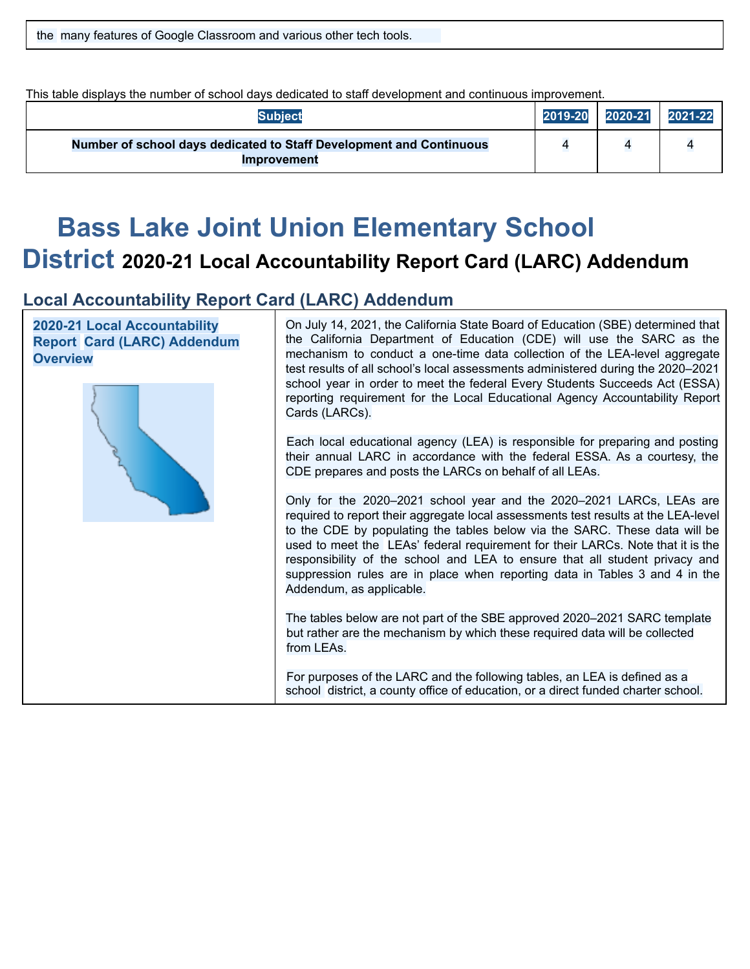|  |  |  | the many features of Google Classroom and various other tech tools. |  |
|--|--|--|---------------------------------------------------------------------|--|
|  |  |  |                                                                     |  |

This table displays the number of school days dedicated to staff development and continuous improvement.

| <b>Subject</b>                                                                            | 2019-20 | 2020-21 | 2021-22 |
|-------------------------------------------------------------------------------------------|---------|---------|---------|
| Number of school days dedicated to Staff Development and Continuous<br><b>Improvement</b> |         |         |         |

# **Bass Lake Joint Union Elementary School**

### **District 2020-21 Local Accountability Report Card (LARC) Addendum**

### **Local Accountability Report Card (LARC) Addendum**

**2020-21 Local Accountability Report Card (LARC) Addendum Overview**



On July 14, 2021, the California State Board of Education (SBE) determined that the California Department of Education (CDE) will use the SARC as the mechanism to conduct a one-time data collection of the LEA-level aggregate test results of all school's local assessments administered during the 2020–2021 school year in order to meet the federal Every Students Succeeds Act (ESSA) reporting requirement for the Local Educational Agency Accountability Report Cards (LARCs).

Each local educational agency (LEA) is responsible for preparing and posting their annual LARC in accordance with the federal ESSA. As a courtesy, the CDE prepares and posts the LARCs on behalf of all LEAs.

Only for the 2020–2021 school year and the 2020–2021 LARCs, LEAs are required to report their aggregate local assessments test results at the LEA-level to the CDE by populating the tables below via the SARC. These data will be used to meet the LEAs' federal requirement for their LARCs. Note that it is the responsibility of the school and LEA to ensure that all student privacy and suppression rules are in place when reporting data in Tables 3 and 4 in the Addendum, as applicable.

The tables below are not part of the SBE approved 2020–2021 SARC template but rather are the mechanism by which these required data will be collected from LEAs.

For purposes of the LARC and the following tables, an LEA is defined as a school district, a county office of education, or a direct funded charter school.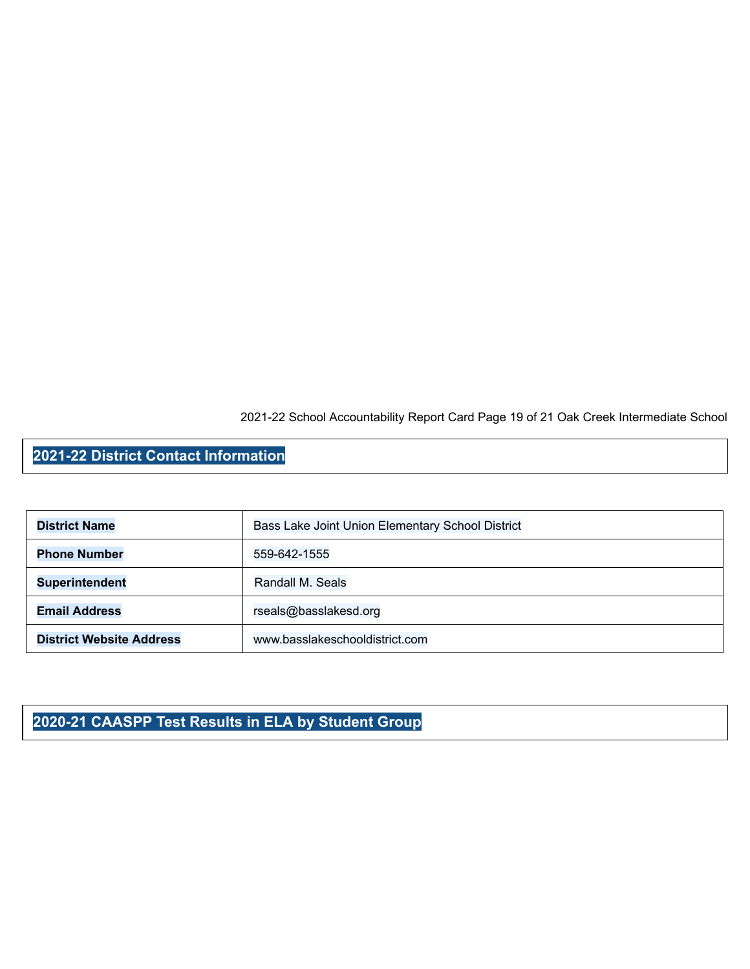2021-22 School Accountability Report Card Page 19 of 21 Oak Creek Intermediate School

### **2021-22 District Contact Information**

| <b>District Name</b>            | Bass Lake Joint Union Elementary School District |
|---------------------------------|--------------------------------------------------|
| <b>Phone Number</b>             | 559-642-1555                                     |
| <b>Superintendent</b>           | Randall M. Seals                                 |
| <b>Email Address</b>            | rseals@basslakesd.org                            |
| <b>District Website Address</b> | www.basslakeschooldistrict.com                   |

### **2020-21 CAASPP Test Results in ELA by Student Group**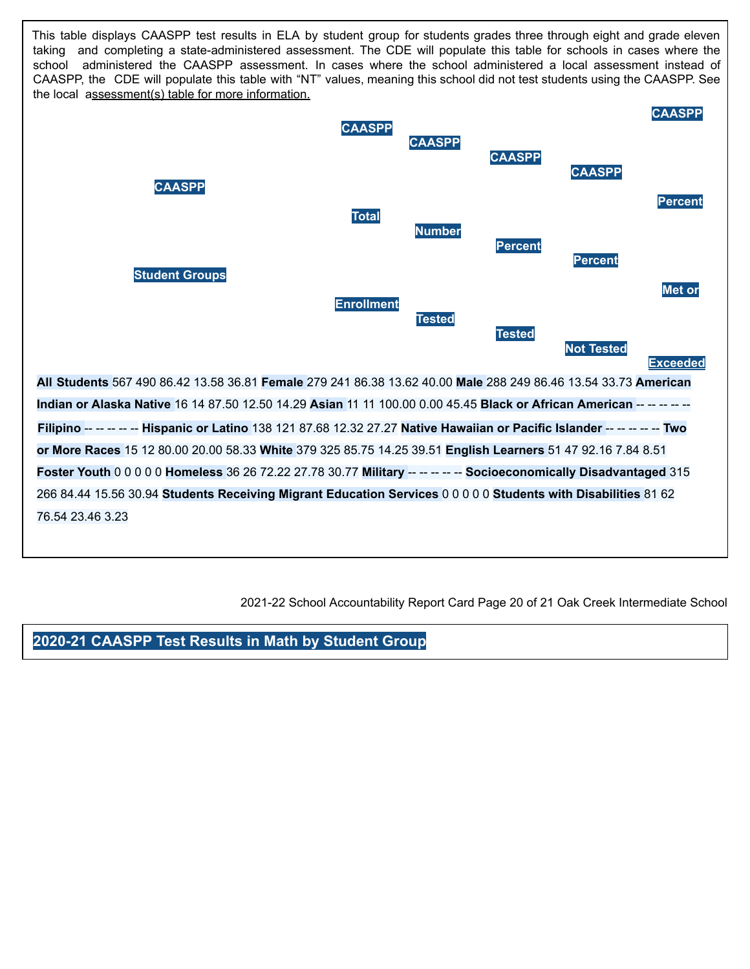This table displays CAASPP test results in ELA by student group for students grades three through eight and grade eleven taking and completing a state-administered assessment. The CDE will populate this table for schools in cases where the school administered the CAASPP assessment. In cases where the school administered a local assessment instead of CAASPP, the CDE will populate this table with "NT" values, meaning this school did not test students using the CAASPP. See the local assessment(s) table for more information.



2021-22 School Accountability Report Card Page 20 of 21 Oak Creek Intermediate School

### **2020-21 CAASPP Test Results in Math by Student Group**